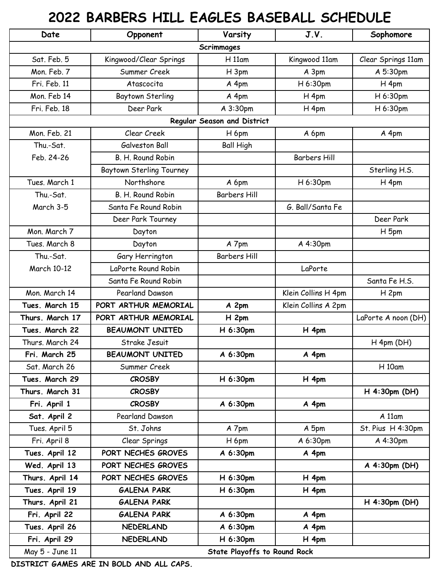## **2022 BARBERS HILL EAGLES BASEBALL SCHEDULE**

| Date                        | Opponent                            | Varsity             | J.V.                | Sophomore           |
|-----------------------------|-------------------------------------|---------------------|---------------------|---------------------|
| Scrimmages                  |                                     |                     |                     |                     |
| Sat. Feb. 5                 | Kingwood/Clear Springs              | H11am               | Kingwood 11am       | Clear Springs 11am  |
| Mon. Feb. 7                 | Summer Creek                        | H 3pm               | A 3pm               | A 5:30pm            |
| Fri. Feb. 11                | Atascocita                          | A 4pm               | H 6:30pm            | H <sub>4pm</sub>    |
| Mon. Feb 14                 | Baytown Sterling                    | A 4pm               | H <sub>4pm</sub>    | H 6:30pm            |
| Fri. Feb. 18                | Deer Park                           | A 3:30pm            | H <sub>4pm</sub>    | H 6:30pm            |
| Regular Season and District |                                     |                     |                     |                     |
| Mon. Feb. 21                | Clear Creek                         | H 6pm               | A 6pm               | A 4pm               |
| Thu.-Sat.                   | Galveston Ball                      | <b>Ball High</b>    |                     |                     |
| Feb. 24-26                  | B. H. Round Robin                   |                     | <b>Barbers Hill</b> |                     |
|                             | <b>Baytown Sterling Tourney</b>     |                     |                     | Sterling H.S.       |
| Tues, March 1               | Northshore                          | A 6pm               | H 6:30pm            | H <sub>4pm</sub>    |
| Thu.-Sat.                   | B. H. Round Robin                   | <b>Barbers Hill</b> |                     |                     |
| March 3-5                   | Santa Fe Round Robin                |                     | G. Ball/Santa Fe    |                     |
|                             | Deer Park Tourney                   |                     |                     | Deer Park           |
| Mon. March 7                | Dayton                              |                     |                     | H 5pm               |
| Tues, March 8               | Dayton                              | A 7pm               | A 4:30pm            |                     |
| Thu.-Sat.                   | Gary Herrington                     | <b>Barbers Hill</b> |                     |                     |
| March 10-12                 | LaPorte Round Robin                 |                     | LaPorte             |                     |
|                             | Santa Fe Round Robin                |                     |                     | Santa Fe H.S.       |
| Mon. March 14               | Pearland Dawson                     |                     | Klein Collins H 4pm | H <sub>2pm</sub>    |
| Tues. March 15              | PORT ARTHUR MEMORIAL                | A 2pm               | Klein Collins A 2pm |                     |
| Thurs. March 17             | PORT ARTHUR MEMORIAL                | H 2pm               |                     | LaPorte A noon (DH) |
| Tues. March 22              | <b>BEAUMONT UNITED</b>              | H 6:30pm            | H 4pm               |                     |
| Thurs. March 24             | Strake Jesuit                       |                     |                     | H 4pm (DH)          |
| Fri. March 25               | <b>BEAUMONT UNITED</b>              | A 6:30pm            | A 4pm               |                     |
| Sat. March 26               | Summer Creek                        |                     |                     | $H$ 10 $am$         |
| Tues. March 29              | <b>CROSBY</b>                       | H 6:30pm            | $H_4$ pm            |                     |
| Thurs. March 31             | <b>CROSBY</b>                       |                     |                     | H 4:30pm (DH)       |
| Fri. April 1                | <b>CROSBY</b>                       | A 6:30pm            | A 4pm               |                     |
| Sat. April 2                | Pearland Dawson                     |                     |                     | $A$ 11 $am$         |
| Tues. April 5               | St. Johns                           | A 7pm               | A 5pm               | St. Pius H 4:30pm   |
| Fri. April 8                | Clear Springs                       | H 6pm               | A 6:30pm            | A 4:30pm            |
| Tues. April 12              | PORT NECHES GROVES                  | A 6:30pm            | A 4pm               |                     |
| Wed. April 13               | PORT NECHES GROVES                  |                     |                     | A 4:30pm (DH)       |
| Thurs. April 14             | PORT NECHES GROVES                  | H 6:30pm            | $H_4$ pm            |                     |
| Tues. April 19              | <b>GALENA PARK</b>                  | H 6:30pm            | $H_4$ pm            |                     |
| Thurs. April 21             | <b>GALENA PARK</b>                  |                     |                     | H 4:30pm (DH)       |
| Fri. April 22               | <b>GALENA PARK</b>                  | A 6:30pm            | A 4pm               |                     |
| Tues. April 26              | <b>NEDERLAND</b>                    | A 6:30pm            | A 4pm               |                     |
| Fri. April 29               | <b>NEDERLAND</b>                    | H 6:30pm            | $H_4$ pm            |                     |
| May 5 - June 11             | <b>State Playoffs to Round Rock</b> |                     |                     |                     |

**DISTRICT GAMES ARE IN BOLD AND ALL CAPS.**